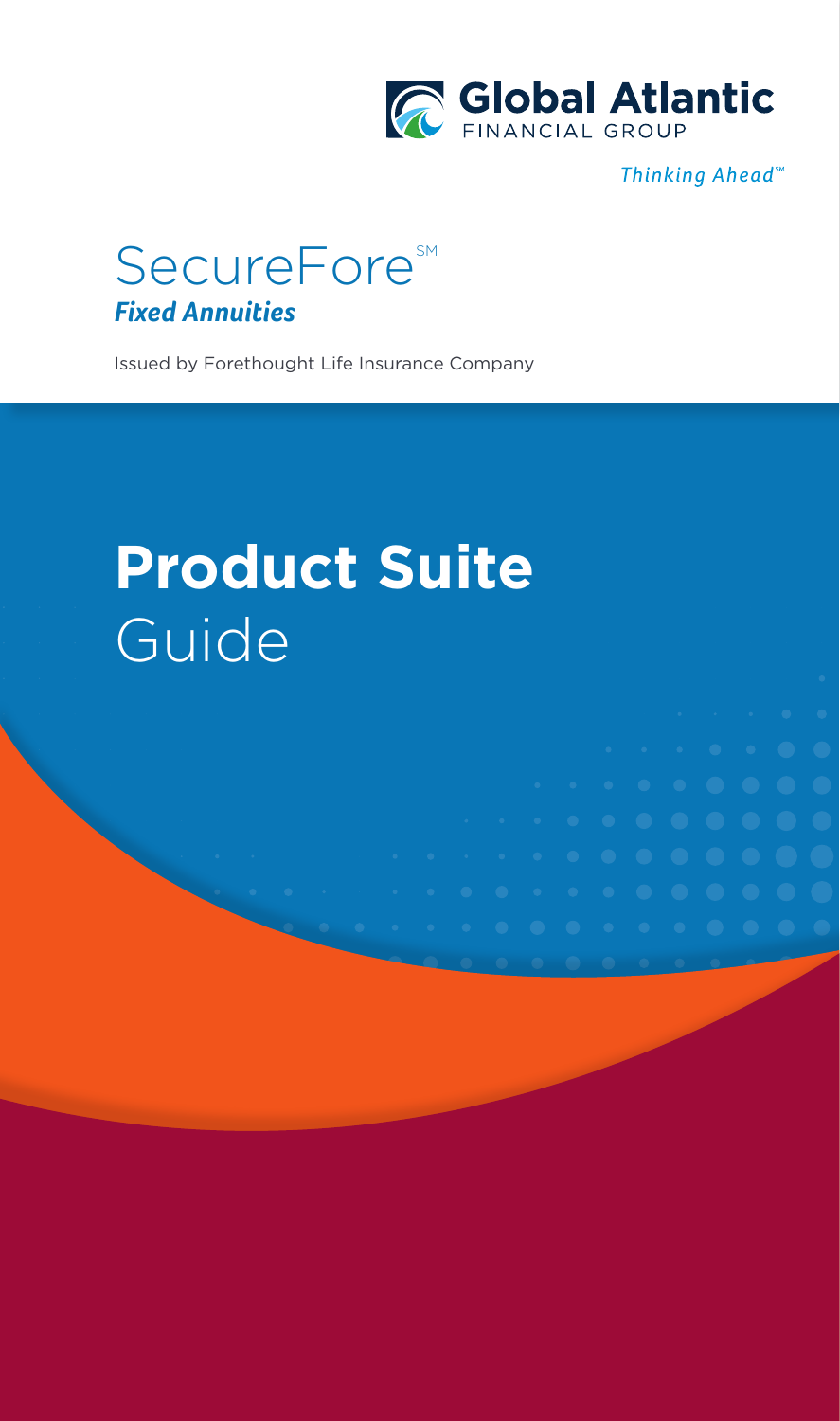

Thinking Ahead<sup>™</sup>



Issued by Forethought Life Insurance Company

# **Product Suite**  Guide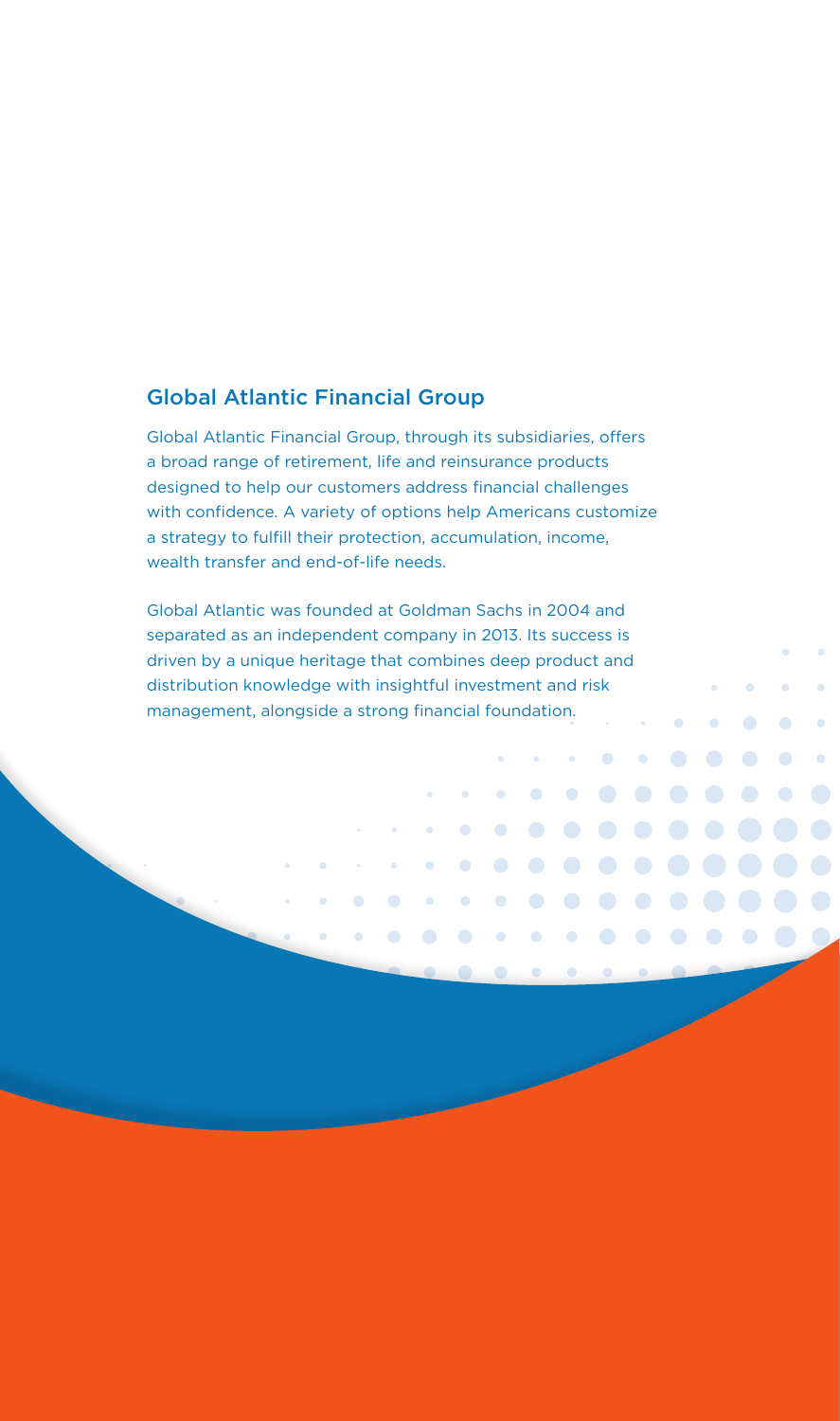#### Global Atlantic Financial Group

Global Atlantic Financial Group, through its subsidiaries, offers a broad range of retirement, life and reinsurance products designed to help our customers address financial challenges with confidence. A variety of options help Americans customize a strategy to fulfill their protection, accumulation, income, wealth transfer and end-of-life needs.

Global Atlantic was founded at Goldman Sachs in 2004 and separated as an independent company in 2013. Its success is driven by a unique heritage that combines deep product and distribution knowledge with insightful investment and risk management, alongside a strong financial foundation.k.

 $\bullet$ 

 $\bullet$ 

 $\bullet$ 

 $\bullet$  $\bullet$ 

 $\bullet$ 

 $\bigodot$ 

 $\bullet$  $\bullet$ 

 $\bullet$ 

 $\bullet$  $\bullet$  $\bullet$  $\bullet$ 

 $\bullet$ 

 $\bullet$ 

 $\bigodot$ 

 $\bullet$ 

 $\bullet$ 

 $\hat{\mathbf{a}}$ 

 $\bullet$  $\bullet$ 

 $\bullet$  $\bullet$ 

 $\bullet$ 

 $\bullet$  $\bullet$  $\bullet$ 

 $\bullet$ 

 $\bullet$  $\bullet$  $\bullet$ 

 $\bullet$ 

 $\bullet$  $\bullet$ 

 $\bullet$  $\bullet$  $\bullet$  $\bullet$ 

 $\bullet$  $\bullet$ 

 $\bullet$  $\bullet$  $\bullet$  $\bullet$  $\bullet$  $\bullet$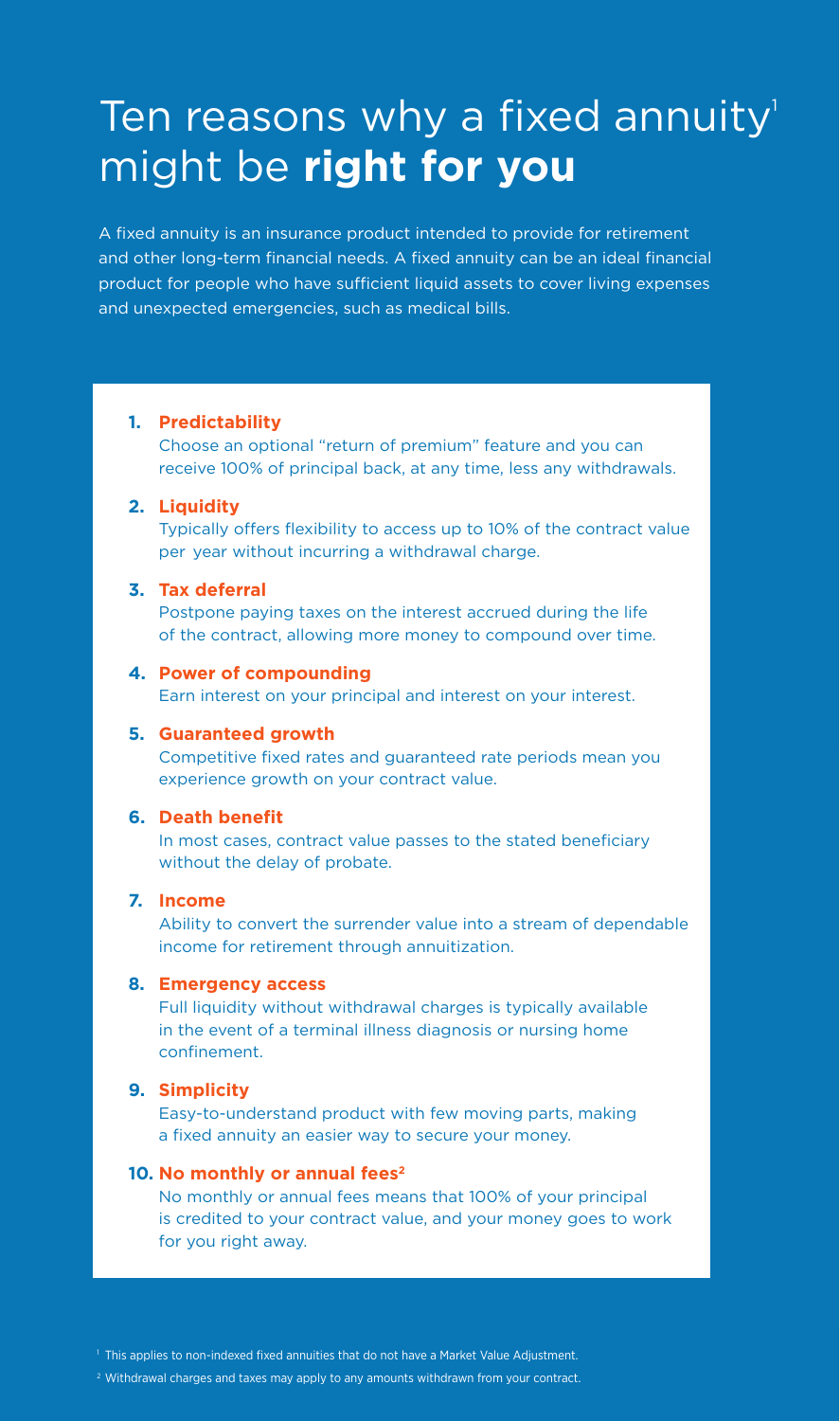## Ten reasons why a fixed annuity<sup>1</sup> might be **right for you**

A fixed annuity is an insurance product intended to provide for retirement and other long-term financial needs. A fixed annuity can be an ideal financial product for people who have sufficient liquid assets to cover living expenses and unexpected emergencies, such as medical bills.

#### **1. Predictability**

Choose an optional "return of premium" feature and you can receive 100% of principal back, at any time, less any withdrawals.

#### **2. Liquidity**

Typically offers flexibility to access up to 10% of the contract value per year without incurring a withdrawal charge.

#### **3. Tax deferral**

Postpone paying taxes on the interest accrued during the life of the contract, allowing more money to compound over time.

#### **4. Power of compounding**

Earn interest on your principal and interest on your interest.

#### **5. Guaranteed growth**

Competitive fixed rates and guaranteed rate periods mean you experience growth on your contract value.

#### **6. Death benefit**

In most cases, contract value passes to the stated beneficiary without the delay of probate.

#### **7. Income**

Ability to convert the surrender value into a stream of dependable income for retirement through annuitization.

#### **8. Emergency access**

Full liquidity without withdrawal charges is typically available in the event of a terminal illness diagnosis or nursing home confinement.

#### **9. Simplicity**

Easy-to-understand product with few moving parts, making a fixed annuity an easier way to secure your money.

#### 10. No monthly or annual fees<sup>2</sup>

No monthly or annual fees means that 100% of your principal is credited to your contract value, and your money goes to work for you right away.

<sup>1</sup> This applies to non-indexed fixed annuities that do not have a Market Value Adjustment.

<sup>2</sup> Withdrawal charges and taxes may apply to any amounts withdrawn from your contract.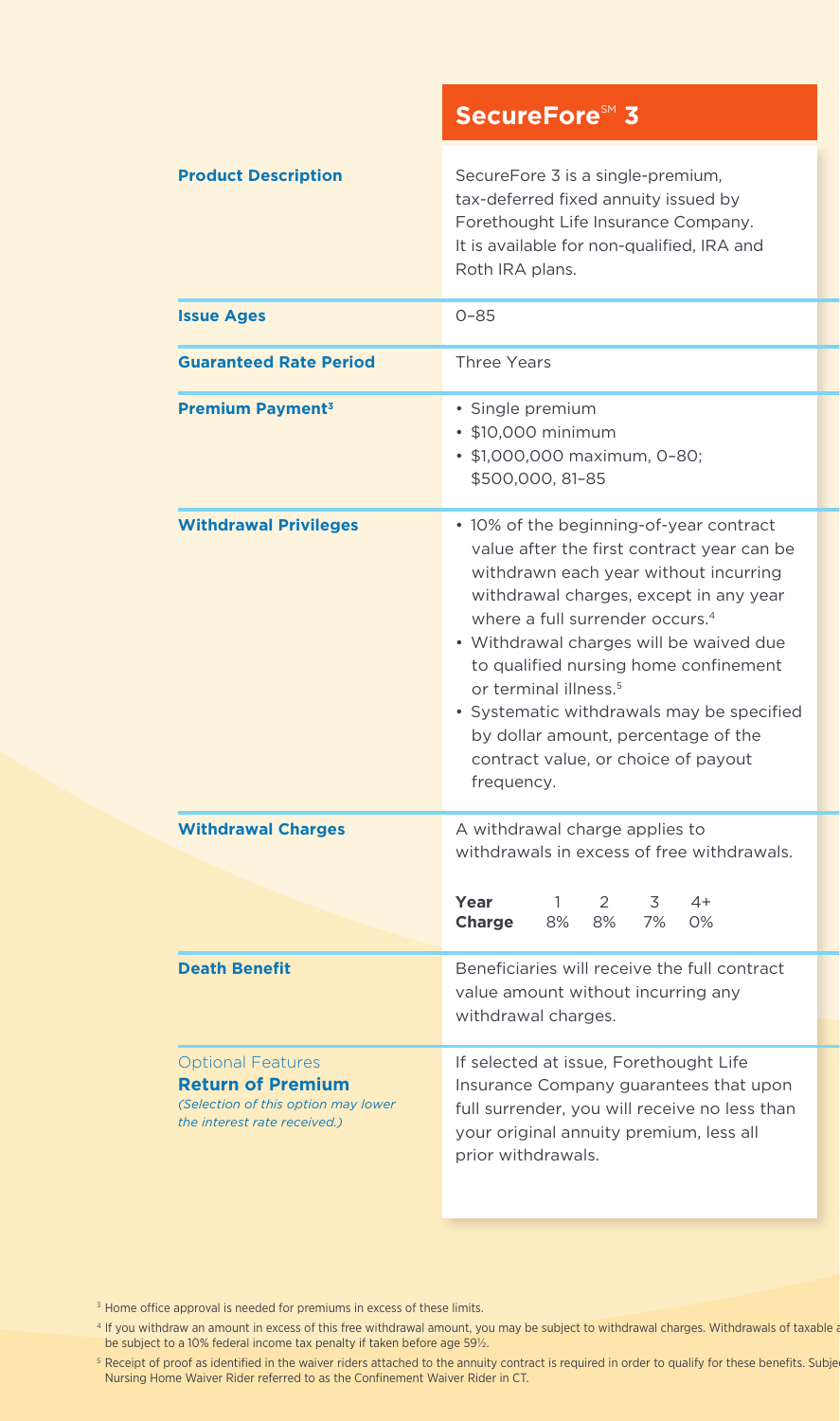|                                                                                                                             | <b>SecureFore<sup>SM</sup> 3</b>                                                                                                                                                                                                                                                                                                                                                                                                                                                          |  |
|-----------------------------------------------------------------------------------------------------------------------------|-------------------------------------------------------------------------------------------------------------------------------------------------------------------------------------------------------------------------------------------------------------------------------------------------------------------------------------------------------------------------------------------------------------------------------------------------------------------------------------------|--|
| <b>Product Description</b>                                                                                                  | SecureFore 3 is a single-premium,<br>tax-deferred fixed annuity issued by<br>Forethought Life Insurance Company.<br>It is available for non-qualified, IRA and<br>Roth IRA plans.                                                                                                                                                                                                                                                                                                         |  |
| <b>Issue Ages</b>                                                                                                           | $0 - 85$                                                                                                                                                                                                                                                                                                                                                                                                                                                                                  |  |
| <b>Guaranteed Rate Period</b>                                                                                               | <b>Three Years</b>                                                                                                                                                                                                                                                                                                                                                                                                                                                                        |  |
| <b>Premium Payment<sup>3</sup></b>                                                                                          | • Single premium<br>• \$10,000 minimum<br>• \$1,000,000 maximum, 0-80;<br>\$500,000, 81-85                                                                                                                                                                                                                                                                                                                                                                                                |  |
| <b>Withdrawal Privileges</b>                                                                                                | • 10% of the beginning-of-year contract<br>value after the first contract year can be<br>withdrawn each year without incurring<br>withdrawal charges, except in any year<br>where a full surrender occurs. <sup>4</sup><br>• Withdrawal charges will be waived due<br>to qualified nursing home confinement<br>or terminal illness. <sup>5</sup><br>• Systematic withdrawals may be specified<br>by dollar amount, percentage of the<br>contract value, or choice of payout<br>frequency. |  |
| <b>Withdrawal Charges</b>                                                                                                   | A withdrawal charge applies to<br>withdrawals in excess of free withdrawals.                                                                                                                                                                                                                                                                                                                                                                                                              |  |
|                                                                                                                             | Year<br>2<br>3<br>4+<br>8%<br>8%<br>7%<br>0%<br><b>Charge</b>                                                                                                                                                                                                                                                                                                                                                                                                                             |  |
| <b>Death Benefit</b>                                                                                                        | Beneficiaries will receive the full contract<br>value amount without incurring any<br>withdrawal charges.                                                                                                                                                                                                                                                                                                                                                                                 |  |
| <b>Optional Features</b><br><b>Return of Premium</b><br>(Selection of this option may lower<br>the interest rate received.) | If selected at issue, Forethought Life<br>Insurance Company guarantees that upon<br>full surrender, you will receive no less than<br>your original annuity premium, less all<br>prior withdrawals.                                                                                                                                                                                                                                                                                        |  |

<sup>3</sup> Home office approval is needed for premiums in excess of these limits.

<sup>4</sup> If you withdraw an amount in excess of this free withdrawal amount, you may be subject to withdrawal charges. Withdrawals of taxable a be subject to a 10% federal income tax penalty if taken before age 59½.

<sup>5</sup> Receipt of proof as identified in the waiver riders attached to the annuity contract is required in order to qualify for these benefits. Subje Nursing Home Waiver Rider referred to as the Confinement Waiver Rider in CT.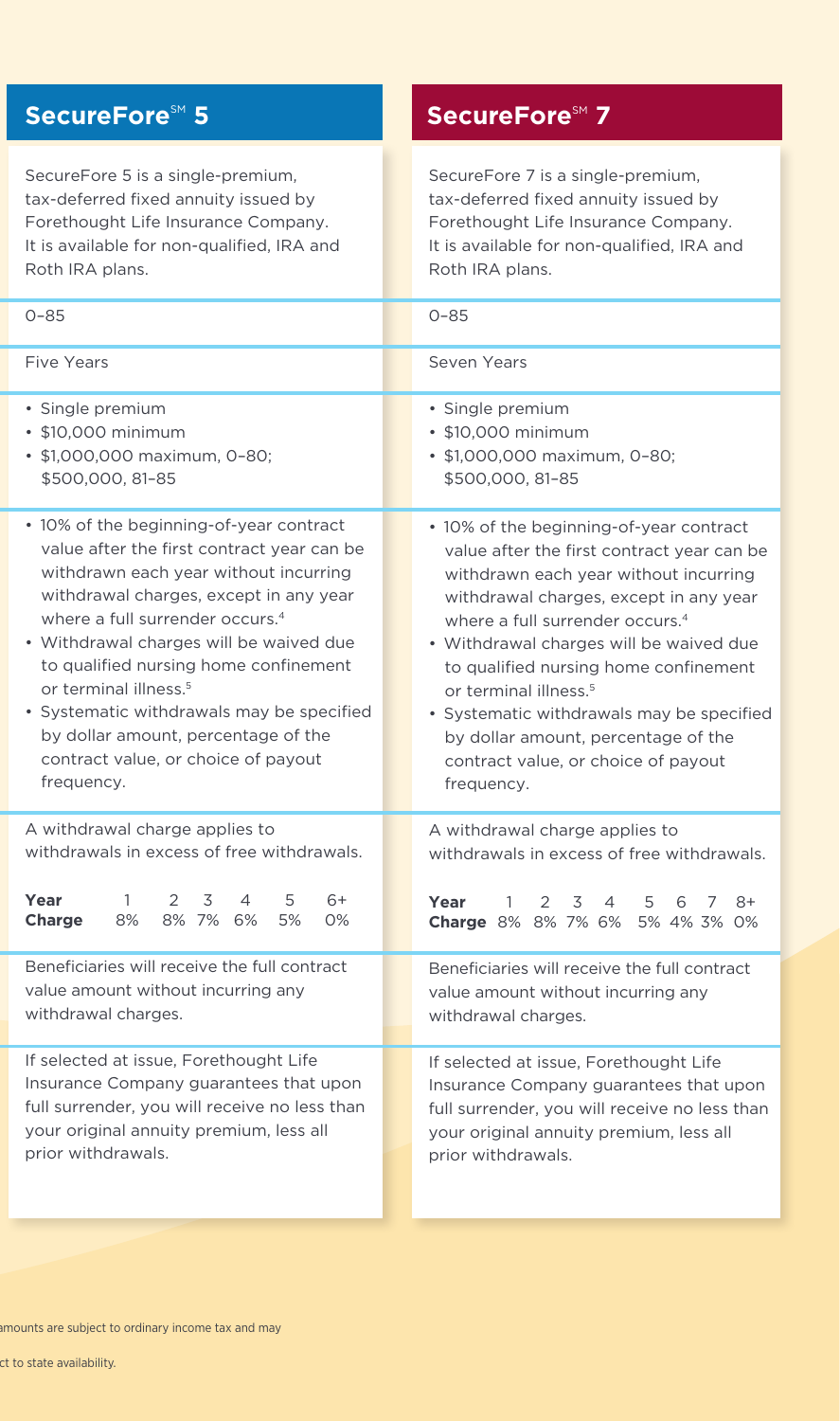### **SecureFore**SM<sub>1</sub> 5 **SecureFore**SM<sub>1</sub> 7

SecureFore 5 is a single-premium, tax-deferred fixed annuity issued by Forethought Life Insurance Company. It is available for non-qualified, IRA and Roth IRA plans.

SecureFore 7 is a single-premium, tax-deferred fixed annuity issued by Forethought Life Insurance Company. It is available for non-qualified, IRA and Roth IRA plans.

| $0 - 85$                                                                                                                                                               | $0 - 85$                                                                                                                                                                      |
|------------------------------------------------------------------------------------------------------------------------------------------------------------------------|-------------------------------------------------------------------------------------------------------------------------------------------------------------------------------|
| Five Years                                                                                                                                                             | Seven Years                                                                                                                                                                   |
| · Single premium                                                                                                                                                       | · Single premium                                                                                                                                                              |
| • \$10,000 minimum                                                                                                                                                     | • \$10,000 minimum                                                                                                                                                            |
| • \$1,000,000 maximum, 0-80;                                                                                                                                           | • \$1,000,000 maximum, 0-80;                                                                                                                                                  |
| \$500,000, 81-85                                                                                                                                                       | \$500,000, 81-85                                                                                                                                                              |
| • 10% of the beginning-of-year contract                                                                                                                                | • 10% of the beginning-of-year contract                                                                                                                                       |
| value after the first contract year can be                                                                                                                             | value after the first contract year can be                                                                                                                                    |
| withdrawn each year without incurring                                                                                                                                  | withdrawn each year without incurring                                                                                                                                         |
| withdrawal charges, except in any year                                                                                                                                 | withdrawal charges, except in any year                                                                                                                                        |
| where a full surrender occurs. <sup>4</sup>                                                                                                                            | where a full surrender occurs. <sup>4</sup>                                                                                                                                   |
| • Withdrawal charges will be waived due                                                                                                                                | • Withdrawal charges will be waived due                                                                                                                                       |
| to qualified nursing home confinement                                                                                                                                  | to qualified nursing home confinement                                                                                                                                         |
| or terminal illness. <sup>5</sup>                                                                                                                                      | or terminal illness. <sup>5</sup>                                                                                                                                             |
| • Systematic withdrawals may be specified                                                                                                                              | · Systematic withdrawals may be specified                                                                                                                                     |
| by dollar amount, percentage of the                                                                                                                                    | by dollar amount, percentage of the                                                                                                                                           |
| contract value, or choice of payout                                                                                                                                    | contract value, or choice of payout                                                                                                                                           |
| frequency.                                                                                                                                                             | frequency.                                                                                                                                                                    |
| A withdrawal charge applies to<br>withdrawals in excess of free withdrawals.<br>Year<br>2<br>3<br>4<br>5<br>6+<br>1.<br>8%<br>8% 7% 6%<br><b>Charge</b><br>5%<br>$O\%$ | A withdrawal charge applies to<br>withdrawals in excess of free withdrawals.<br>Year<br>3<br>1<br>$\mathcal{P}$<br>4<br>5<br>6<br>$8+$<br>7<br>Charge 8% 8% 7% 6% 5% 4% 3% 0% |
| Beneficiaries will receive the full contract                                                                                                                           | Beneficiaries will receive the full contract                                                                                                                                  |
| value amount without incurring any                                                                                                                                     | value amount without incurring any                                                                                                                                            |
| withdrawal charges.                                                                                                                                                    | withdrawal charges.                                                                                                                                                           |
| If selected at issue, Forethought Life                                                                                                                                 | If selected at issue, Forethought Life                                                                                                                                        |
| Insurance Company guarantees that upon                                                                                                                                 | Insurance Company guarantees that upon                                                                                                                                        |
| full surrender, you will receive no less than                                                                                                                          | full surrender, you will receive no less than                                                                                                                                 |
| your original annuity premium, less all                                                                                                                                | your original annuity premium, less all                                                                                                                                       |
| prior withdrawals.                                                                                                                                                     | prior withdrawals.                                                                                                                                                            |

ct to state availability.